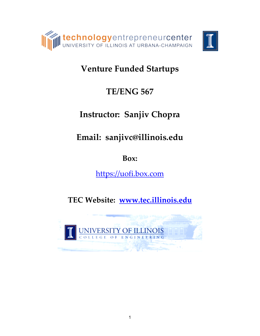

# **Venture Funded Startups**

# **TE/ENG 567**

# **Instructor: Sanjiv Chopra**

**Email: sanjivc@illinois.edu**

**Box:**

[https://uofi.box.com](https://uofi.box.com/)

**TEC Website: [www.tec.illinois.edu](http://www.tec.illinois.edu/)**

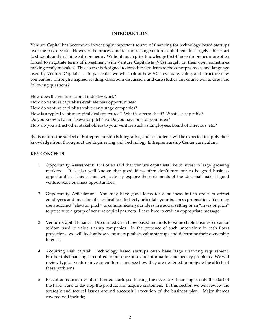#### **INTRODUCTION**

Venture Capital has become an increasingly important source of financing for technology based startups over the past decade. However the process and task of raising venture capital remains largely a black art to students and first time entrepreneurs. Without much prior knowledge first-time-entrepreneurs are often forced to negotiate terms of investment with Venture Capitalists (VCs) largely on their own, sometimes making costly mistakes! This course is designed to introduce students to the concepts, tools, and language used by Venture Capitalists. In particular we will look at how VC's evaluate, value, and structure new companies. Through assigned reading, classroom discussion, and case studies this course will address the following questions?

How does the venture capital industry work? How do venture capitalists evaluate new opportunities? How do venture capitalists value early stage companies? How is a typical venture capital deal structured? What is a term sheet? What is a cap table? Do you know what an "elevator pitch" is? Do you have one for your idea? How do you attract other stakeholders to your venture such as Employees, Board of Directors, etc.?

By its nature, the subject of Entrepreneurship is integrative, and so students will be expected to apply their knowledge from throughout the Engineering and Technology Entrepreneurship Center curriculum.

## **KEY CONCEPTS**

- 1. Opportunity Assessment: It is often said that venture capitalists like to invest in large, growing markets. It is also well known that good ideas often don't turn out to be good business opportunities. This section will actively explore those elements of the idea that make it good venture scale business opportunities.
- 2. Opportunity Articulation: You may have good ideas for a business but in order to attract employees and investors it is critical to effectively articulate your business proposition. You may use a succinct "elevator pitch" to communicate your ideas in a social setting or an "investor pitch" to present to a group of venture capital partners. Learn hwo to craft an appropriate message.
- 3. Venture Capital Finance: Discounted Cash Flow based methods to value stable businesses can be seldom used to value startup companies. In the presence of such uncertainty in cash flows projections, we will look at how venture capitalists value startups and determine their ownership interest.
- 4. Acquiring Risk capital: Technology based startups often have large financing requirement. Further this financing is required in presence of severe information and agency problems. We will review typical venture investment terms and see how they are designed to mitigate the affects of these problems.
- 5. Execution issues in Venture funded startups: Raising the necessary financing is only the start of the hard work to develop the product and acquire customers. In this section we will review the strategic and tactical issues around successful execution of the business plan. Major themes covered will include;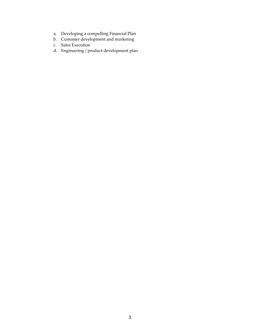- a. Developing a compelling Financial Plan
- b. Customer development and marketing
- c. Sales Execution
- d. Engineering / product development plan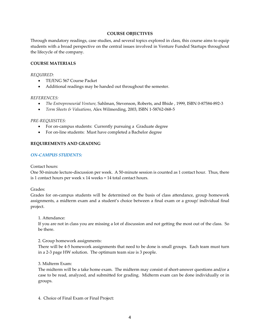#### **COURSE OBJECTIVES**

Through mandatory readings, case studies, and several topics explored in class, this course aims to equip students with a broad perspective on the central issues involved in Venture Funded Startups throughout the lifecycle of the company.

## **COURSE MATERIALS**

#### *REQUIRED:*

- TE/ENG 567 Course Packet
- Additional readings may be handed out throughout the semester.

### *REFERENCES:*

- *The Entrepreneurial Venture,* Sahlman, Stevenson, Roberts, and Bhide , 1999, ISBN 0-87584-892-3
- *Term Sheets & Valuations,* Alex Wilmerding, 2003, ISBN 1-58762-068-5

### *PRE-REQUISITES:*

- For on-campus students: Currently pursuing a Graduate degree
- For on-line students: Must have completed a Bachelor degree

## **REQUIREMENTS AND GRADING**

## *ON-CAMPUS STUDENTS:*

## Contact hours:

One 50-minute lecture-discussion per week. A 50-minute session is counted as 1 contact hour. Thus, there is 1 contact hours per week x 14 weeks = 14 total contact hours.

Grades:

Grades for on-campus students will be determined on the basis of class attendance, group homework assignments, a midterm exam and a student's choice between a final exam or a group/ individual final project.

#### 1. Attendance:

If you are not in class you are missing a lot of discussion and not getting the most out of the class. So be there.

2. Group homework assignments:

There will be 4-5 homework assignments that need to be done is small groups. Each team must turn in a 2-3 page HW solution. The optimum team size is 3 people.

## 3. Midterm Exam:

The midterm will be a take home exam. The midterm may consist of short-answer questions and/or a case to be read, analyzed, and submitted for grading. Midterm exam can be done individually or in groups.

4. Choice of Final Exam or Final Project: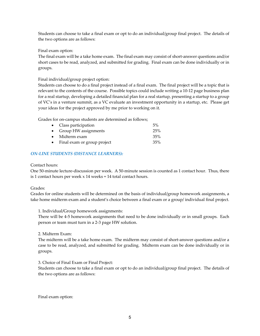Students can choose to take a final exam or opt to do an individual/group final project. The details of the two options are as follows:

Final exam option:

The final exam will be a take home exam. The final exam may consist of short-answer questions and/or short cases to be read, analyzed, and submitted for grading. Final exam can be done individually or in groups.

Final individual/group project option:

Students can choose to do a final project instead of a final exam. The final project will be a topic that is relevant to the contents of the course. Possible topics could include writing a 10-12 page business plan for a real startup, developing a detailed financial plan for a real startup, presenting a startup to a group of VC's in a venture summit, as a VC evaluate an investment opportunity in a startup, etc. Please get your ideas for the project approved by me prior to working on it.

Grades for on-campus students are determined as follows;

| • Class participation         | 5%  |
|-------------------------------|-----|
| • Group HW assignments        | 25% |
| $\bullet$ Midterm exam        | 35% |
| • Final exam or group project | 35% |

## *ON-LINE STUDENTS (DISTANCE LEARNERS):*

### Contact hours:

One 50-minute lecture-discussion per week. A 50-minute session is counted as 1 contact hour. Thus, there is 1 contact hours per week x 14 weeks = 14 total contact hours.

## Grades:

Grades for online students will be determined on the basis of individual/group homework assignments, a take home midterm exam and a student's choice between a final exam or a group/ individual final project.

1. Individual/Group homework assignments:

There will be 4-5 homework assignments that need to be done individually or in small groups. Each person or team must turn in a 2-3 page HW solution.

## 2. Midterm Exam:

The midterm will be a take home exam. The midterm may consist of short-answer questions and/or a case to be read, analyzed, and submitted for grading. Midterm exam can be done individually or in groups.

3. Choice of Final Exam or Final Project:

Students can choose to take a final exam or opt to do an individual/group final project. The details of the two options are as follows:

Final exam option: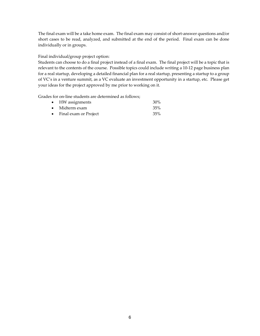The final exam will be a take home exam. The final exam may consist of short-answer questions and/or short cases to be read, analyzed, and submitted at the end of the period. Final exam can be done individually or in groups.

Final individual/group project option:

Students can choose to do a final project instead of a final exam. The final project will be a topic that is relevant to the contents of the course. Possible topics could include writing a 10-12 page business plan for a real startup, developing a detailed financial plan for a real startup, presenting a startup to a group of VC's in a venture summit, as a VC evaluate an investment opportunity in a startup, etc. Please get your ideas for the project approved by me prior to working on it.

Grades for on-line students are determined as follows;

| • HW assignments        | $30\%$ |
|-------------------------|--------|
| $\bullet$ Midterm exam  | 35%    |
| • Final exam or Project | 35%    |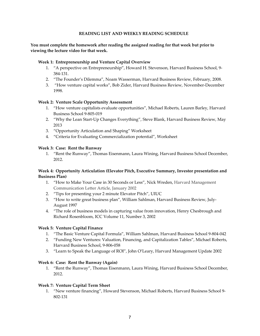## **READING LIST AND WEEKLY READING SCHEDULE**

## **You must complete the homework after reading the assigned reading for that week but prior to viewing the lecture video for that week.**

### **Week 1: Entrepreneurship and Venture Capital Overview**

- 1. "A perspective on Entrepreneurship", Howard H. Stevenson, Harvard Business School, 9- 384-131.
- 2. "The Founder's Dilemma", Noam Wasserman, Harvard Business Review, February, 2008.
- 3. "How venture capital works", Bob Zider, Harvard Business Review, November-December 1998.

### **Week 2: Venture Scale Opportunity Assessment**

- 1. "How venture capitalists evaluate opportunities", Michael Roberts, Lauren Barley, Harvard Business School 9-805-019
- 2. "Why the Lean Start-Up Changes Everything", Steve Blank, Harvard Business Review, May 2013
- 3. "Opportunity Articulation and Shaping" Worksheet
- 4. "Criteria for Evaluating Commercialization potential", Worksheet

### **Week 3: Case: Rent the Runway**

1. "Rent the Runway", Thomas Eisenmann, Laura Wining, Harvard Business School December, 2012.

## **Week 4: Opportunity Articulation (Elevator Pitch, Executive Summary, Investor presentation and Business Plan)**

- 1. "How to Make Your Case in 30 Seconds or Less", Nick Wreden, Harvard Management Communication Letter Article, January 2002
- 2. "Tips for presenting your 2 minute Elevator Pitch", UIUC
- 3. "How to write great business plan", William Sahlman, Harvard Business Review, July-August 1997
- 4. "The role of business models in capturing value from innovation, Henry Chesbrough and Richard Rosenbloom, ICC Volume 11, Number 3, 2002

#### **Week 5: Venture Capital Finance**

- 1. "The Basic Venture Capital Formula", William Sahlman, Harvard Business School 9-804-042
- 2. "Funding New Ventures: Valuation, Financing, and Capitalization Tables", Michael Roberts, Harvard Business School, 9-806-058
- 3. "Learn to Speak the Language of ROI", John O'Leary, Harvard Management Update 2002

#### **Week 6: Case: Rent the Runway (Again)**

1. "Rent the Runway", Thomas Eisenmann, Laura Wining, Harvard Business School December, 2012.

#### **Week 7: Venture Capital Term Sheet**

1. "New venture financing", Howard Stevenson, Michael Roberts, Harvard Business School 9- 802-131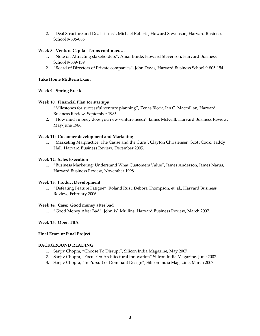2. "Deal Structure and Deal Terms", Michael Roberts, Howard Stevenson, Harvard Business School 9-806-085

## **Week 8: Venture Capital Terms continued…**

- 1. "Note on Attracting stakeholders", Amar Bhide, Howard Stevenson, Harvard Business School 9-389-139
- 2. "Board of Directors of Private companies", John Davis, Harvard Business School 9-805-154

#### **Take Home Midterm Exam**

### **Week 9: Spring Break**

#### **Week 10: Financial Plan for startups**

- 1. "Milestones for successful venture planning", Zenas Block, Ian C. Macmillan, Harvard Business Review, September 1985
- 2. "How much money does you new venture need?" James McNeill, Harvard Business Review, May-June 1986.

### **Week 11: Customer development and Marketing**

1. "Marketing Malpractice: The Cause and the Cure", Clayton Christensen, Scott Cook, Taddy Hall, Harvard Business Review, December 2005.

### **Week 12: Sales Execution**

1. "Business Marketing; Understand What Customers Value", James Anderson, James Narus, Harvard Business Review, November 1998.

#### **Week 13: Product Development**

1. "Defeating Feature Fatigue", Roland Rust, Debora Thompson, et. al., Harvard Business Review, February 2006.

#### **Week 14: Case: Good money after bad**

1. "Good Money After Bad", John W. Mullins, Harvard Business Review, March 2007.

## **Week 15: Open TBA**

### **Final Exam or Final Project**

#### **BACKGROUND READING**

- 1. Sanjiv Chopra, "Choose To Disrupt", Silicon India Magazine, May 2007.
- 2. Sanjiv Chopra, "Focus On Architectural Innovation" Silicon India Magazine, June 2007.
- 3. Sanjiv Chopra, "In Pursuit of Dominant Design", Silicon India Magazine, March 2007.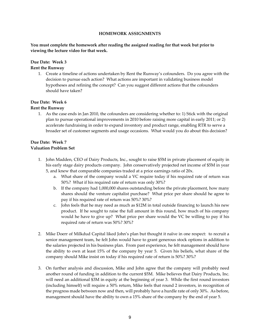#### **HOMEWORK ASSIGNMENTS**

## **You must complete the homework after reading the assigned reading for that week but prior to viewing the lecture video for that week.**

## **Due Date: Week 3 Rent the Runway**

1. Create a timeline of actions undertaken by Rent the Runway's cofounders. Do you agree with the decision to pursue each action? What actions are important in validating business model hypotheses and refining the concept? Can you suggest different actions that the cofounders should have taken?

## **Due Date: Week 6**

## **Rent the Runway**

1. As the case ends in Jan 2010, the cofounders are considering whether to: 1) Stick with the original plan to pursue operational improvements in 2010 before raising more capital in early 2011; or 2) accelerate fundraising in order to expand inventory and product range, enabling RTR to serve a broader set of customer segments and usage occasions. What would you do about this decision?

## **Due Date: Week 7 Valuation Problem Set**

- 1. John Madden, CEO of Dairy Products, Inc., sought to raise \$5M in private placement of equity in his early stage dairy products company. John conservatively projected net income of \$5M in year 5, and knew that comparable companies traded at a price earnings ratio of 20x.
	- a. What share of the company would a VC require today if his required rate of return was 50%? What if his required rate of return was only 30%?
	- b. If the company had 1,000,000 shares outstanding before the private placement, how many shares should the venture capitalist purchase? What price per share should he agree to pay if his required rate of return was 50%? 30%?
	- c. John feels that he may need as much as \$12M in total outside financing to launch his new product. If he sought to raise the full amount in this round, how much of his company would he have to give up? What price per share would the VC be willing to pay if his required rate of return was 50%? 30%?
- 2. Mike Doerr of Milkdud Capital liked John's plan but thought it naïve in one respect: to recruit a senior management team, he felt John would have to grant generous stock options in addition to the salaries projected in his business plan. From past experience, he felt management should have the ability to own at least 15% of the company by year 5. Given his beliefs, what share of the company should Mike insist on today if his required rate of return is 50%? 30%?
- 3. On further analysis and discussion, Mike and John agree that the company will probably need another round of funding in addition to the current \$5M. Mike believes that Dairy Products, Inc. will need an additional \$3M in equity at the beginning of year 3. While the first round investors (including himself) will require a 50% return, Mike feels that round 2 investors, in recognition of the progress made between now and then, will probably have a hurdle rate of only 30%. As before, management should have the ability to own a 15% share of the company by the end of year 5.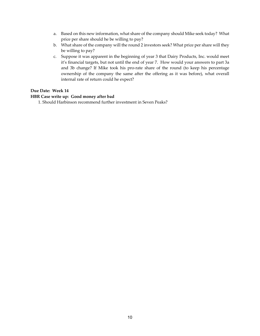- a. Based on this new information, what share of the company should Mike seek today? What price per share should he be willing to pay?
- b. What share of the company will the round 2 investors seek? What price per share will they be willing to pay?
- c. Suppose it was apparent in the beginning of year 3 that Dairy Products, Inc. would meet it's financial targets, but not until the end of year 7. How would your answers to part 3a and 3b change? If Mike took his pro-rate share of the round (to keep his percentage ownership of the company the same after the offering as it was before), what overall internal rate of return could he expect?

## **Due Date: Week 14**

### **HBR Case write up: Good money after bad**

1. Should Harbinson recommend further investment in Seven Peaks?